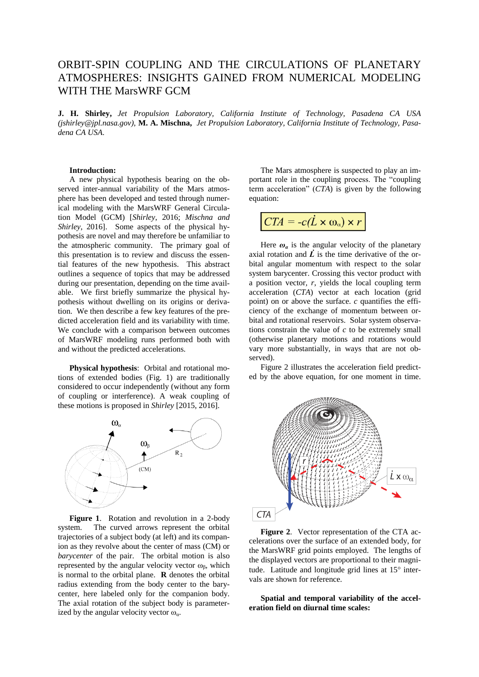# ORBIT-SPIN COUPLING AND THE CIRCULATIONS OF PLANETARY ATMOSPHERES: INSIGHTS GAINED FROM NUMERICAL MODELING WITH THE MarsWRF GCM

**J. H. Shirley,** *Jet Propulsion Laboratory, California Institute of Technology, Pasadena CA USA (jshirley@jpl.nasa.gov)*, **M. A. Mischna,** *Jet Propulsion Laboratory, California Institute of Technology, Pasadena CA USA*.

#### **Introduction:**

A new physical hypothesis bearing on the observed inter-annual variability of the Mars atmosphere has been developed and tested through numerical modeling with the MarsWRF General Circulation Model (GCM) [*Shirley*, 2016; *Mischna and Shirley*, 2016]. Some aspects of the physical hypothesis are novel and may therefore be unfamiliar to the atmospheric community. The primary goal of this presentation is to review and discuss the essential features of the new hypothesis. This abstract outlines a sequence of topics that may be addressed during our presentation, depending on the time available. We first briefly summarize the physical hypothesis without dwelling on its origins or derivation. We then describe a few key features of the predicted acceleration field and its variability with time. We conclude with a comparison between outcomes of MarsWRF modeling runs performed both with and without the predicted accelerations.

**Physical hypothesis**: Orbital and rotational motions of extended bodies (Fig. 1) are traditionally considered to occur independently (without any form of coupling or interference). A weak coupling of these motions is proposed in *Shirley* [2015, 2016].



**Figure 1**. Rotation and revolution in a 2-body system. The curved arrows represent the orbital trajectories of a subject body (at left) and its companion as they revolve about the center of mass (CM) or *barycenter* of the pair. The orbital motion is also represented by the angular velocity vector  $\omega_{\beta}$ , which is normal to the orbital plane. **R** denotes the orbital radius extending from the body center to the barycenter, here labeled only for the companion body. The axial rotation of the subject body is parameterized by the angular velocity vector  $\omega_a$ .

The Mars atmosphere is suspected to play an important role in the coupling process. The "coupling term acceleration" (*CTA*) is given by the following equation:

$$
CTA = -c(\dot{L} \times \omega_{\alpha}) \times r
$$

Here  $\omega_a$  is the angular velocity of the planetary axial rotation and  $\vec{L}$  is the time derivative of the orbital angular momentum with respect to the solar system barycenter. Crossing this vector product with a position vector*, r*, yields the local coupling term acceleration (*CTA*) vector at each location (grid point) on or above the surface. *c* quantifies the efficiency of the exchange of momentum between orbital and rotational reservoirs. Solar system observations constrain the value of *c* to be extremely small (otherwise planetary motions and rotations would vary more substantially, in ways that are not observed).

Figure 2 illustrates the acceleration field predicted by the above equation, for one moment in time.



**Figure 2**. Vector representation of the CTA accelerations over the surface of an extended body, for the MarsWRF grid points employed. The lengths of the displayed vectors are proportional to their magnitude. Latitude and longitude grid lines at  $15^\circ$  intervals are shown for reference.

**Spatial and temporal variability of the acceleration field on diurnal time scales:**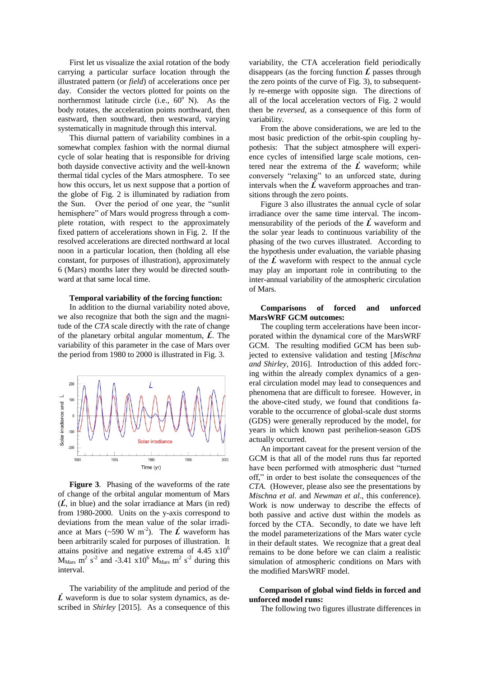First let us visualize the axial rotation of the body carrying a particular surface location through the illustrated pattern (or *field*) of accelerations once per day. Consider the vectors plotted for points on the northernmost latitude circle (i.e.,  $60^{\circ}$  N). As the body rotates, the acceleration points northward, then eastward, then southward, then westward, varying systematically in magnitude through this interval.

This diurnal pattern of variability combines in a somewhat complex fashion with the normal diurnal cycle of solar heating that is responsible for driving both dayside convective activity and the well-known thermal tidal cycles of the Mars atmosphere. To see how this occurs, let us next suppose that a portion of the globe of Fig. 2 is illuminated by radiation from the Sun. Over the period of one year, the "sunlit hemisphere" of Mars would progress through a complete rotation, with respect to the approximately fixed pattern of accelerations shown in Fig. 2. If the resolved accelerations are directed northward at local noon in a particular location, then (holding all else constant, for purposes of illustration), approximately 6 (Mars) months later they would be directed southward at that same local time.

### **Temporal variability of the forcing function:**

In addition to the diurnal variability noted above, we also recognize that both the sign and the magnitude of the *CTA* scale directly with the rate of change of the planetary orbital angular momentum,  $\vec{L}$ . The variability of this parameter in the case of Mars over the period from 1980 to 2000 is illustrated in Fig. 3.



**Figure 3**. Phasing of the waveforms of the rate of change of the orbital angular momentum of Mars  $(\vec{L}, \text{ in blue})$  and the solar irradiance at Mars (in red) from 1980-2000. Units on the y-axis correspond to deviations from the mean value of the solar irradiance at Mars (~590 W m<sup>-2</sup>). The  $\vec{L}$  waveform has been arbitrarily scaled for purposes of illustration. It attains positive and negative extrema of  $4.45 \times 10^6$  $M_{\text{Mars}}$  m<sup>2</sup> s<sup>-2</sup> and -3.41 x10<sup>6</sup>  $M_{\text{Mars}}$  m<sup>2</sup> s<sup>-2</sup> during this interval.

The variability of the amplitude and period of the  $\vec{L}$  waveform is due to solar system dynamics, as described in *Shirley* [2015]. As a consequence of this variability, the CTA acceleration field periodically disappears (as the forcing function  $\vec{L}$  passes through the zero points of the curve of Fig. 3), to subsequently re-emerge with opposite sign. The directions of all of the local acceleration vectors of Fig. 2 would then be *reversed*, as a consequence of this form of variability.

From the above considerations, we are led to the most basic prediction of the orbit-spin coupling hypothesis: That the subject atmosphere will experience cycles of intensified large scale motions, centered near the extrema of the  $\vec{L}$  waveform; while conversely "relaxing" to an unforced state, during intervals when the  $\vec{L}$  waveform approaches and transitions through the zero points.

Figure 3 also illustrates the annual cycle of solar irradiance over the same time interval. The incommensurability of the periods of the  $\vec{L}$  waveform and the solar year leads to continuous variability of the phasing of the two curves illustrated. According to the hypothesis under evaluation, the variable phasing of the  $\vec{L}$  waveform with respect to the annual cycle may play an important role in contributing to the inter-annual variability of the atmospheric circulation of Mars.

## **Comparisons of forced and unforced MarsWRF GCM outcomes:**

The coupling term accelerations have been incorporated within the dynamical core of the MarsWRF GCM. The resulting modified GCM has been subjected to extensive validation and testing [*Mischna and Shirley*, 2016]. Introduction of this added forcing within the already complex dynamics of a general circulation model may lead to consequences and phenomena that are difficult to foresee. However, in the above-cited study, we found that conditions favorable to the occurrence of global-scale dust storms (GDS) were generally reproduced by the model, for years in which known past perihelion-season GDS actually occurred.

An important caveat for the present version of the GCM is that all of the model runs thus far reported have been performed with atmospheric dust "turned off," in order to best isolate the consequences of the *CTA*. (However, please also see the presentations by *Mischna et al*. and *Newman et al*., this conference). Work is now underway to describe the effects of both passive and active dust within the models as forced by the CTA. Secondly, to date we have left the model parameterizations of the Mars water cycle in their default states. We recognize that a great deal remains to be done before we can claim a realistic simulation of atmospheric conditions on Mars with the modified MarsWRF model.

### **Comparison of global wind fields in forced and unforced model runs:**

The following two figures illustrate differences in